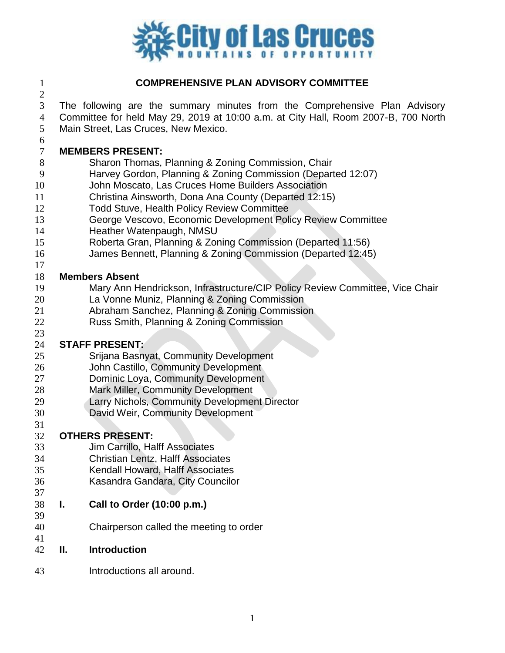

# **COMPREHENSIVE PLAN ADVISORY COMMITTEE**

 The following are the summary minutes from the Comprehensive Plan Advisory Committee for held May 29, 2019 at 10:00 a.m. at City Hall, Room 2007-B, 700 North

Main Street, Las Cruces, New Mexico.

#### **MEMBERS PRESENT:**

- Sharon Thomas, Planning & Zoning Commission, Chair
- Harvey Gordon, Planning & Zoning Commission (Departed 12:07)
- John Moscato, Las Cruces Home Builders Association
- Christina Ainsworth, Dona Ana County (Departed 12:15)
- Todd Stuve, Health Policy Review Committee
- George Vescovo, Economic Development Policy Review Committee
- Heather Watenpaugh, NMSU
- Roberta Gran, Planning & Zoning Commission (Departed 11:56)
- James Bennett, Planning & Zoning Commission (Departed 12:45)

#### **Members Absent**

- Mary Ann Hendrickson, Infrastructure/CIP Policy Review Committee, Vice Chair
- La Vonne Muniz, Planning & Zoning Commission
- Abraham Sanchez, Planning & Zoning Commission
- Russ Smith, Planning & Zoning Commission

# **STAFF PRESENT:**

- Srijana Basnyat, Community Development
- John Castillo, Community Development
- Dominic Loya, Community Development
- Mark Miller, Community Development
- Larry Nichols, Community Development Director
- David Weir, Community Development

#### 

# **OTHERS PRESENT:**

- Jim Carrillo, Halff Associates
- Christian Lentz, Halff Associates
- Kendall Howard, Halff Associates
- Kasandra Gandara, City Councilor
- 

#### **I. Call to Order (10:00 p.m.)**

- Chairperson called the meeting to order
- 
- **II. Introduction**
- Introductions all around.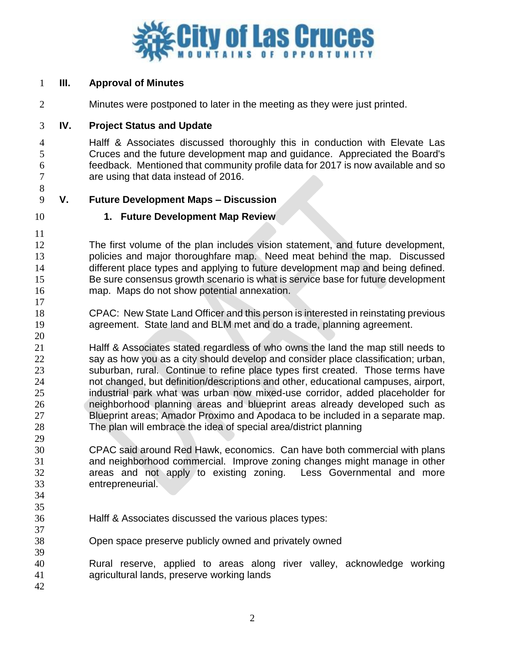

## **III. Approval of Minutes**

Minutes were postponed to later in the meeting as they were just printed.

## **IV. Project Status and Update**

 Halff & Associates discussed thoroughly this in conduction with Elevate Las Cruces and the future development map and guidance. Appreciated the Board's feedback. Mentioned that community profile data for 2017 is now available and so are using that data instead of 2016.

# **V. Future Development Maps – Discussion**

# **1. Future Development Map Review**

 The first volume of the plan includes vision statement, and future development, 13 policies and major thoroughfare map. Need meat behind the map. Discussed 14 different place types and applying to future development map and being defined. Be sure consensus growth scenario is what is service base for future development map. Maps do not show potential annexation.

 CPAC: New State Land Officer and this person is interested in reinstating previous agreement. State land and BLM met and do a trade, planning agreement.

 Halff & Associates stated regardless of who owns the land the map still needs to say as how you as a city should develop and consider place classification; urban, suburban, rural. Continue to refine place types first created. Those terms have not changed, but definition/descriptions and other, educational campuses, airport, industrial park what was urban now mixed-use corridor, added placeholder for neighborhood planning areas and blueprint areas already developed such as Blueprint areas; Amador Proximo and Apodaca to be included in a separate map. The plan will embrace the idea of special area/district planning

- CPAC said around Red Hawk, economics. Can have both commercial with plans and neighborhood commercial. Improve zoning changes might manage in other areas and not apply to existing zoning. Less Governmental and more entrepreneurial.
- 

- Halff & Associates discussed the various places types:
- Open space preserve publicly owned and privately owned
- Rural reserve, applied to areas along river valley, acknowledge working agricultural lands, preserve working lands
-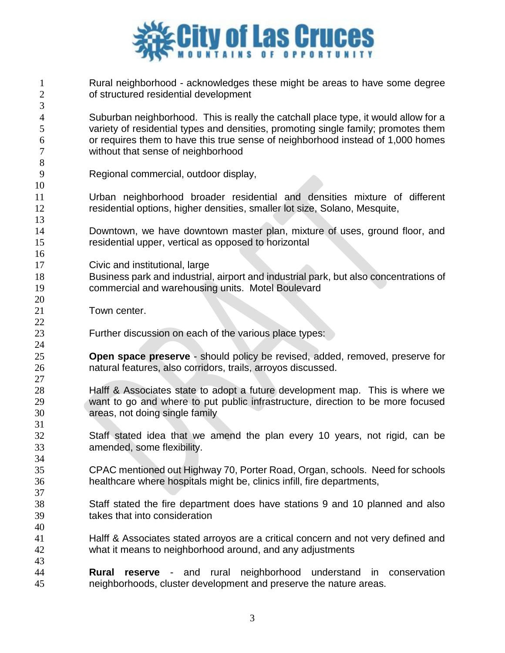

 Rural neighborhood - acknowledges these might be areas to have some degree of structured residential development Suburban neighborhood. This is really the catchall place type, it would allow for a variety of residential types and densities, promoting single family; promotes them or requires them to have this true sense of neighborhood instead of 1,000 homes without that sense of neighborhood Regional commercial, outdoor display, Urban neighborhood broader residential and densities mixture of different residential options, higher densities, smaller lot size, Solano, Mesquite, Downtown, we have downtown master plan, mixture of uses, ground floor, and residential upper, vertical as opposed to horizontal Civic and institutional, large Business park and industrial, airport and industrial park, but also concentrations of commercial and warehousing units. Motel Boulevard Town center. Further discussion on each of the various place types: **Open space preserve** - should policy be revised, added, removed, preserve for natural features, also corridors, trails, arroyos discussed. Halff & Associates state to adopt a future development map. This is where we want to go and where to put public infrastructure, direction to be more focused areas, not doing single family Staff stated idea that we amend the plan every 10 years, not rigid, can be amended, some flexibility. CPAC mentioned out Highway 70, Porter Road, Organ, schools. Need for schools healthcare where hospitals might be, clinics infill, fire departments, Staff stated the fire department does have stations 9 and 10 planned and also takes that into consideration Halff & Associates stated arroyos are a critical concern and not very defined and what it means to neighborhood around, and any adjustments **Rural reserve** - and rural neighborhood understand in conservation neighborhoods, cluster development and preserve the nature areas.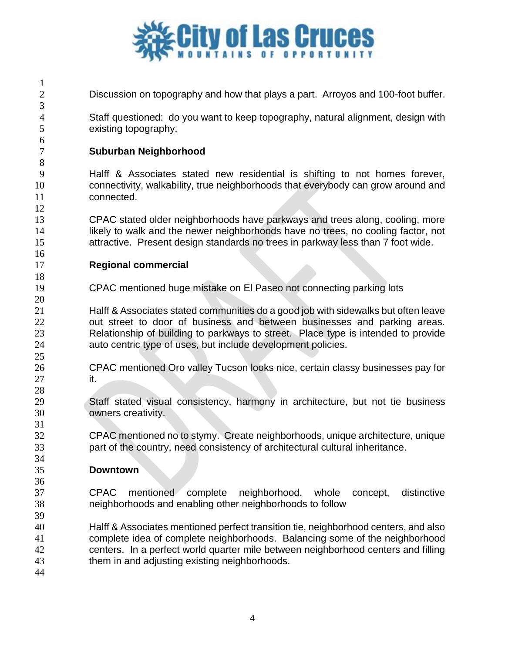

Discussion on topography and how that plays a part. Arroyos and 100-foot buffer.

 Staff questioned: do you want to keep topography, natural alignment, design with existing topography,

## **Suburban Neighborhood**

 Halff & Associates stated new residential is shifting to not homes forever, connectivity, walkability, true neighborhoods that everybody can grow around and connected.

 CPAC stated older neighborhoods have parkways and trees along, cooling, more 14 likely to walk and the newer neighborhoods have no trees, no cooling factor, not attractive. Present design standards no trees in parkway less than 7 foot wide.

## **Regional commercial**

CPAC mentioned huge mistake on El Paseo not connecting parking lots

 Halff & Associates stated communities do a good job with sidewalks but often leave 22 out street to door of business and between businesses and parking areas. Relationship of building to parkways to street. Place type is intended to provide auto centric type of uses, but include development policies.

- CPAC mentioned Oro valley Tucson looks nice, certain classy businesses pay for it.
- Staff stated visual consistency, harmony in architecture, but not tie business owners creativity.

 CPAC mentioned no to stymy. Create neighborhoods, unique architecture, unique part of the country, need consistency of architectural cultural inheritance.

## **Downtown**

 CPAC mentioned complete neighborhood, whole concept, distinctive neighborhoods and enabling other neighborhoods to follow

 Halff & Associates mentioned perfect transition tie, neighborhood centers, and also complete idea of complete neighborhoods. Balancing some of the neighborhood centers. In a perfect world quarter mile between neighborhood centers and filling them in and adjusting existing neighborhoods.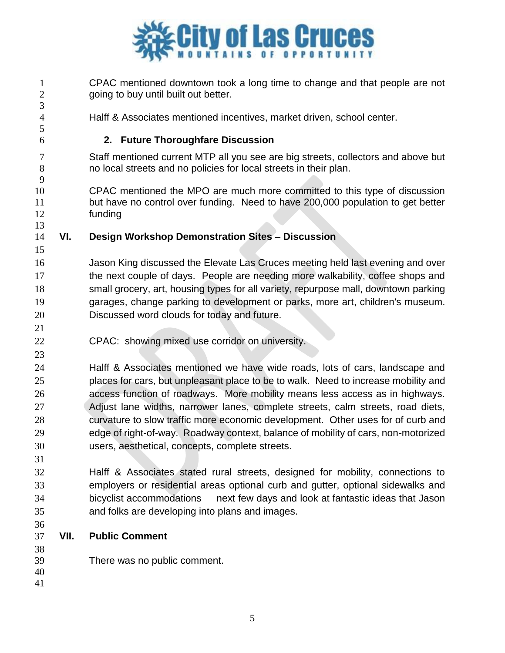

- CPAC mentioned downtown took a long time to change and that people are not going to buy until built out better. Halff & Associates mentioned incentives, market driven, school center. **2. Future Thoroughfare Discussion** Staff mentioned current MTP all you see are big streets, collectors and above but no local streets and no policies for local streets in their plan. CPAC mentioned the MPO are much more committed to this type of discussion but have no control over funding. Need to have 200,000 population to get better funding **VI. Design Workshop Demonstration Sites – Discussion** Jason King discussed the Elevate Las Cruces meeting held last evening and over the next couple of days. People are needing more walkability, coffee shops and small grocery, art, housing types for all variety, repurpose mall, downtown parking garages, change parking to development or parks, more art, children's museum. Discussed word clouds for today and future. CPAC: showing mixed use corridor on university. Halff & Associates mentioned we have wide roads, lots of cars, landscape and places for cars, but unpleasant place to be to walk. Need to increase mobility and access function of roadways. More mobility means less access as in highways. Adjust lane widths, narrower lanes, complete streets, calm streets, road diets, curvature to slow traffic more economic development. Other uses for of curb and edge of right-of-way. Roadway context, balance of mobility of cars, non-motorized users, aesthetical, concepts, complete streets. Halff & Associates stated rural streets, designed for mobility, connections to employers or residential areas optional curb and gutter, optional sidewalks and bicyclist accommodations next few days and look at fantastic ideas that Jason and folks are developing into plans and images. **VII. Public Comment** There was no public comment.
-